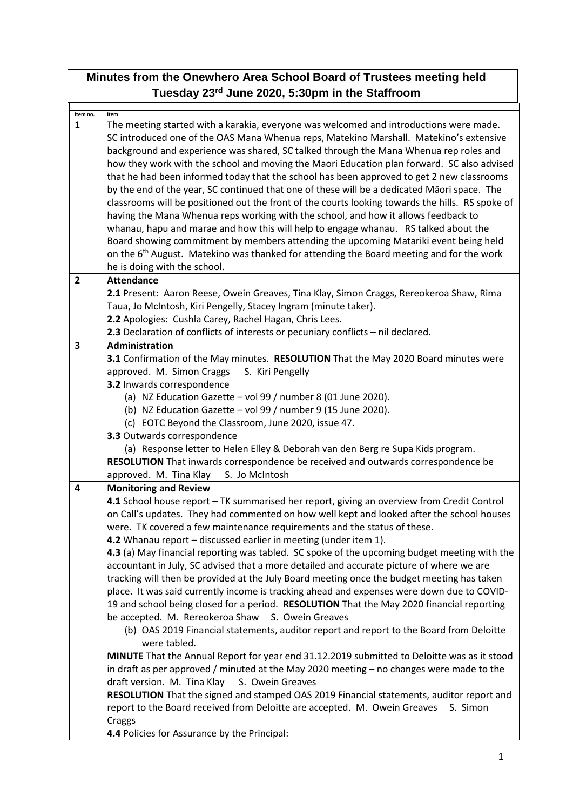| Minutes from the Onewhero Area School Board of Trustees meeting held<br>Tuesday 23rd June 2020, 5:30pm in the Staffroom |                                                                                                                                                                                                                                                                                                                                                                                                                                                                                                                                                                                                                                                                                                                                                                                                                                                                                                                                                                                                                                                                                                                                                                                                                                                                                                                                                                                                                                                                                                                          |  |  |
|-------------------------------------------------------------------------------------------------------------------------|--------------------------------------------------------------------------------------------------------------------------------------------------------------------------------------------------------------------------------------------------------------------------------------------------------------------------------------------------------------------------------------------------------------------------------------------------------------------------------------------------------------------------------------------------------------------------------------------------------------------------------------------------------------------------------------------------------------------------------------------------------------------------------------------------------------------------------------------------------------------------------------------------------------------------------------------------------------------------------------------------------------------------------------------------------------------------------------------------------------------------------------------------------------------------------------------------------------------------------------------------------------------------------------------------------------------------------------------------------------------------------------------------------------------------------------------------------------------------------------------------------------------------|--|--|
|                                                                                                                         |                                                                                                                                                                                                                                                                                                                                                                                                                                                                                                                                                                                                                                                                                                                                                                                                                                                                                                                                                                                                                                                                                                                                                                                                                                                                                                                                                                                                                                                                                                                          |  |  |
| Item no.<br>$\mathbf{1}$                                                                                                | Item<br>The meeting started with a karakia, everyone was welcomed and introductions were made.<br>SC introduced one of the OAS Mana Whenua reps, Matekino Marshall. Matekino's extensive<br>background and experience was shared, SC talked through the Mana Whenua rep roles and<br>how they work with the school and moving the Maori Education plan forward. SC also advised<br>that he had been informed today that the school has been approved to get 2 new classrooms<br>by the end of the year, SC continued that one of these will be a dedicated Māori space. The<br>classrooms will be positioned out the front of the courts looking towards the hills. RS spoke of<br>having the Mana Whenua reps working with the school, and how it allows feedback to<br>whanau, hapu and marae and how this will help to engage whanau. RS talked about the<br>Board showing commitment by members attending the upcoming Matariki event being held<br>on the 6 <sup>th</sup> August. Matekino was thanked for attending the Board meeting and for the work<br>he is doing with the school.                                                                                                                                                                                                                                                                                                                                                                                                                             |  |  |
| $\overline{2}$                                                                                                          | <b>Attendance</b><br>2.1 Present: Aaron Reese, Owein Greaves, Tina Klay, Simon Craggs, Rereokeroa Shaw, Rima<br>Taua, Jo McIntosh, Kiri Pengelly, Stacey Ingram (minute taker).<br>2.2 Apologies: Cushla Carey, Rachel Hagan, Chris Lees.<br>2.3 Declaration of conflicts of interests or pecuniary conflicts - nil declared.                                                                                                                                                                                                                                                                                                                                                                                                                                                                                                                                                                                                                                                                                                                                                                                                                                                                                                                                                                                                                                                                                                                                                                                            |  |  |
| 3                                                                                                                       | Administration<br>3.1 Confirmation of the May minutes. RESOLUTION That the May 2020 Board minutes were<br>approved. M. Simon Craggs<br>S. Kiri Pengelly<br>3.2 Inwards correspondence<br>(a) NZ Education Gazette - vol 99 / number 8 (01 June 2020).<br>(b) NZ Education Gazette - vol 99 / number 9 (15 June 2020).<br>(c) EOTC Beyond the Classroom, June 2020, issue 47.<br>3.3 Outwards correspondence<br>(a) Response letter to Helen Elley & Deborah van den Berg re Supa Kids program.<br>RESOLUTION That inwards correspondence be received and outwards correspondence be<br>approved. M. Tina Klay<br>S. Jo McIntosh                                                                                                                                                                                                                                                                                                                                                                                                                                                                                                                                                                                                                                                                                                                                                                                                                                                                                          |  |  |
| 4                                                                                                                       | <b>Monitoring and Review</b><br>4.1 School house report - TK summarised her report, giving an overview from Credit Control<br>on Call's updates. They had commented on how well kept and looked after the school houses<br>were. TK covered a few maintenance requirements and the status of these.<br>4.2 Whanau report - discussed earlier in meeting (under item 1).<br>4.3 (a) May financial reporting was tabled. SC spoke of the upcoming budget meeting with the<br>accountant in July, SC advised that a more detailed and accurate picture of where we are<br>tracking will then be provided at the July Board meeting once the budget meeting has taken<br>place. It was said currently income is tracking ahead and expenses were down due to COVID-<br>19 and school being closed for a period. RESOLUTION That the May 2020 financial reporting<br>be accepted. M. Rereokeroa Shaw S. Owein Greaves<br>(b) OAS 2019 Financial statements, auditor report and report to the Board from Deloitte<br>were tabled.<br>MINUTE That the Annual Report for year end 31.12.2019 submitted to Deloitte was as it stood<br>in draft as per approved / minuted at the May 2020 meeting - no changes were made to the<br>draft version. M. Tina Klay<br>S. Owein Greaves<br>RESOLUTION That the signed and stamped OAS 2019 Financial statements, auditor report and<br>report to the Board received from Deloitte are accepted. M. Owein Greaves<br>S. Simon<br>Craggs<br>4.4 Policies for Assurance by the Principal: |  |  |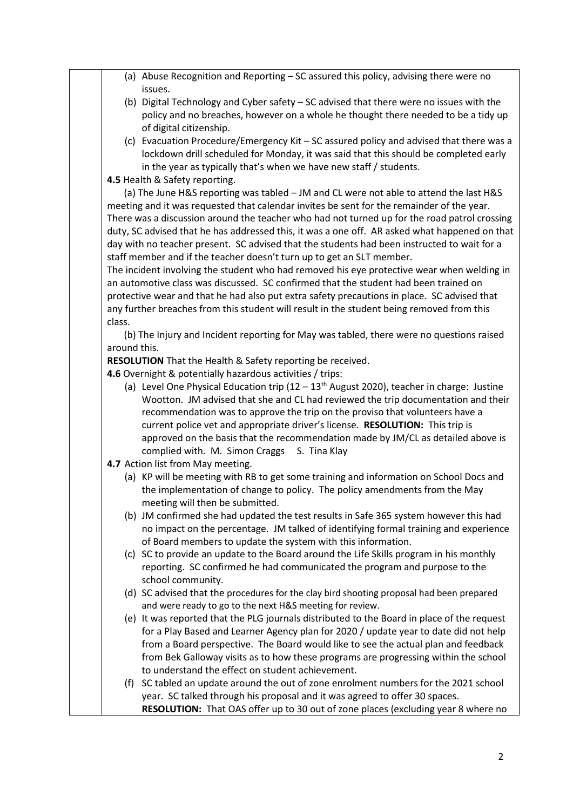|              | (a) Abuse Recognition and Reporting $-$ SC assured this policy, advising there were no                                      |
|--------------|-----------------------------------------------------------------------------------------------------------------------------|
|              | issues.                                                                                                                     |
|              | (b) Digital Technology and Cyber safety - SC advised that there were no issues with the                                     |
|              | policy and no breaches, however on a whole he thought there needed to be a tidy up                                          |
|              | of digital citizenship.                                                                                                     |
|              | (c) Evacuation Procedure/Emergency Kit - SC assured policy and advised that there was a                                     |
|              | lockdown drill scheduled for Monday, it was said that this should be completed early                                        |
|              | in the year as typically that's when we have new staff / students.                                                          |
|              | 4.5 Health & Safety reporting.                                                                                              |
|              | (a) The June H&S reporting was tabled - JM and CL were not able to attend the last H&S                                      |
|              | meeting and it was requested that calendar invites be sent for the remainder of the year.                                   |
|              | There was a discussion around the teacher who had not turned up for the road patrol crossing                                |
|              | duty, SC advised that he has addressed this, it was a one off. AR asked what happened on that                               |
|              | day with no teacher present. SC advised that the students had been instructed to wait for a                                 |
|              | staff member and if the teacher doesn't turn up to get an SLT member.                                                       |
|              | The incident involving the student who had removed his eye protective wear when welding in                                  |
|              | an automotive class was discussed. SC confirmed that the student had been trained on                                        |
|              | protective wear and that he had also put extra safety precautions in place. SC advised that                                 |
|              | any further breaches from this student will result in the student being removed from this                                   |
| class.       |                                                                                                                             |
|              | (b) The Injury and Incident reporting for May was tabled, there were no questions raised                                    |
| around this. |                                                                                                                             |
|              | RESOLUTION That the Health & Safety reporting be received.                                                                  |
|              | 4.6 Overnight & potentially hazardous activities / trips:                                                                   |
|              | (a) Level One Physical Education trip $(12 - 13th$ August 2020), teacher in charge: Justine                                 |
|              | Wootton. JM advised that she and CL had reviewed the trip documentation and their                                           |
|              | recommendation was to approve the trip on the proviso that volunteers have a                                                |
|              | current police vet and appropriate driver's license. RESOLUTION: This trip is                                               |
|              | approved on the basis that the recommendation made by JM/CL as detailed above is                                            |
|              | complied with. M. Simon Craggs<br>S. Tina Klay                                                                              |
|              | 4.7 Action list from May meeting.<br>(a) KP will be meeting with RB to get some training and information on School Docs and |
|              |                                                                                                                             |
|              | the implementation of change to policy. The policy amendments from the May<br>meeting will then be submitted.               |
|              | (b) JM confirmed she had updated the test results in Safe 365 system however this had                                       |
|              | no impact on the percentage. JM talked of identifying formal training and experience                                        |
|              |                                                                                                                             |
|              | of Board members to update the system with this information.                                                                |
|              | (c) SC to provide an update to the Board around the Life Skills program in his monthly                                      |
|              | reporting. SC confirmed he had communicated the program and purpose to the                                                  |
|              | school community.                                                                                                           |
|              | (d) SC advised that the procedures for the clay bird shooting proposal had been prepared                                    |
|              | and were ready to go to the next H&S meeting for review.                                                                    |
|              | (e) It was reported that the PLG journals distributed to the Board in place of the request                                  |
|              | for a Play Based and Learner Agency plan for 2020 / update year to date did not help                                        |
|              | from a Board perspective. The Board would like to see the actual plan and feedback                                          |
|              | from Bek Galloway visits as to how these programs are progressing within the school                                         |
|              | to understand the effect on student achievement.                                                                            |
| (f)          | SC tabled an update around the out of zone enrolment numbers for the 2021 school                                            |
|              | year. SC talked through his proposal and it was agreed to offer 30 spaces.                                                  |
|              | RESOLUTION: That OAS offer up to 30 out of zone places (excluding year 8 where no                                           |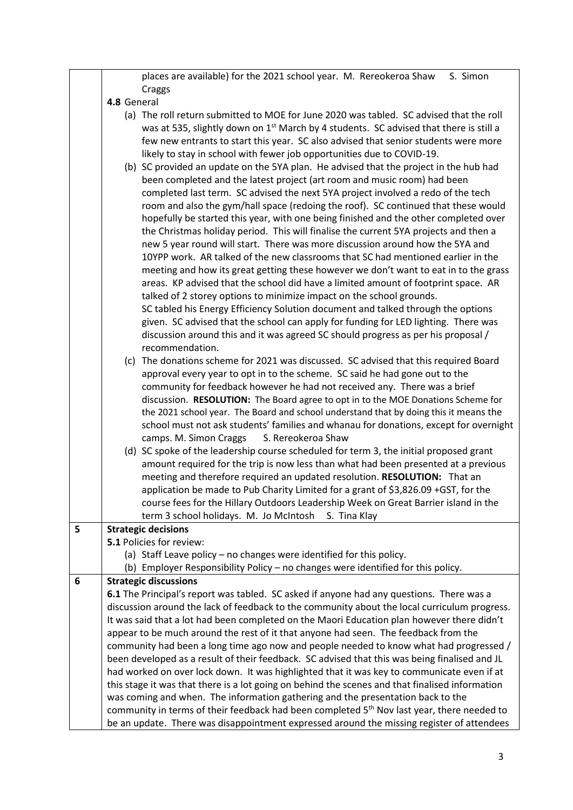|   | places are available) for the 2021 school year. M. Rereokeroa Shaw<br>S. Simon                                                                                                              |
|---|---------------------------------------------------------------------------------------------------------------------------------------------------------------------------------------------|
|   | Craggs                                                                                                                                                                                      |
|   | 4.8 General                                                                                                                                                                                 |
|   | (a) The roll return submitted to MOE for June 2020 was tabled. SC advised that the roll                                                                                                     |
|   | was at 535, slightly down on 1 <sup>st</sup> March by 4 students. SC advised that there is still a                                                                                          |
|   | few new entrants to start this year. SC also advised that senior students were more                                                                                                         |
|   | likely to stay in school with fewer job opportunities due to COVID-19.                                                                                                                      |
|   | (b) SC provided an update on the 5YA plan. He advised that the project in the hub had                                                                                                       |
|   | been completed and the latest project (art room and music room) had been                                                                                                                    |
|   | completed last term. SC advised the next 5YA project involved a redo of the tech                                                                                                            |
|   | room and also the gym/hall space (redoing the roof). SC continued that these would                                                                                                          |
|   | hopefully be started this year, with one being finished and the other completed over                                                                                                        |
|   | the Christmas holiday period. This will finalise the current 5YA projects and then a                                                                                                        |
|   | new 5 year round will start. There was more discussion around how the 5YA and                                                                                                               |
|   | 10YPP work. AR talked of the new classrooms that SC had mentioned earlier in the                                                                                                            |
|   | meeting and how its great getting these however we don't want to eat in to the grass                                                                                                        |
|   | areas. KP advised that the school did have a limited amount of footprint space. AR                                                                                                          |
|   | talked of 2 storey options to minimize impact on the school grounds.                                                                                                                        |
|   | SC tabled his Energy Efficiency Solution document and talked through the options                                                                                                            |
|   | given. SC advised that the school can apply for funding for LED lighting. There was                                                                                                         |
|   | discussion around this and it was agreed SC should progress as per his proposal /                                                                                                           |
|   | recommendation.                                                                                                                                                                             |
|   | (c) The donations scheme for 2021 was discussed. SC advised that this required Board                                                                                                        |
|   | approval every year to opt in to the scheme. SC said he had gone out to the                                                                                                                 |
|   | community for feedback however he had not received any. There was a brief                                                                                                                   |
|   | discussion. RESOLUTION: The Board agree to opt in to the MOE Donations Scheme for                                                                                                           |
|   | the 2021 school year. The Board and school understand that by doing this it means the                                                                                                       |
|   | school must not ask students' families and whanau for donations, except for overnight                                                                                                       |
|   | camps. M. Simon Craggs<br>S. Rereokeroa Shaw                                                                                                                                                |
|   | (d) SC spoke of the leadership course scheduled for term 3, the initial proposed grant                                                                                                      |
|   | amount required for the trip is now less than what had been presented at a previous                                                                                                         |
|   | meeting and therefore required an updated resolution. RESOLUTION: That an                                                                                                                   |
|   | application be made to Pub Charity Limited for a grant of \$3,826.09 +GST, for the                                                                                                          |
|   | course fees for the Hillary Outdoors Leadership Week on Great Barrier island in the                                                                                                         |
|   | term 3 school holidays. M. Jo McIntosh<br>S. Tina Klay                                                                                                                                      |
| 5 | <b>Strategic decisions</b>                                                                                                                                                                  |
|   | 5.1 Policies for review:                                                                                                                                                                    |
|   | (a) Staff Leave policy – no changes were identified for this policy.                                                                                                                        |
|   | (b) Employer Responsibility Policy - no changes were identified for this policy.                                                                                                            |
| 6 | <b>Strategic discussions</b>                                                                                                                                                                |
|   | 6.1 The Principal's report was tabled. SC asked if anyone had any questions. There was a                                                                                                    |
|   | discussion around the lack of feedback to the community about the local curriculum progress.                                                                                                |
|   | It was said that a lot had been completed on the Maori Education plan however there didn't                                                                                                  |
|   | appear to be much around the rest of it that anyone had seen. The feedback from the                                                                                                         |
|   | community had been a long time ago now and people needed to know what had progressed /                                                                                                      |
|   | been developed as a result of their feedback. SC advised that this was being finalised and JL<br>had worked on over lock down. It was highlighted that it was key to communicate even if at |
|   | this stage it was that there is a lot going on behind the scenes and that finalised information                                                                                             |
|   | was coming and when. The information gathering and the presentation back to the                                                                                                             |
|   | community in terms of their feedback had been completed 5 <sup>th</sup> Nov last year, there needed to                                                                                      |
|   | be an update. There was disappointment expressed around the missing register of attendees                                                                                                   |
|   |                                                                                                                                                                                             |